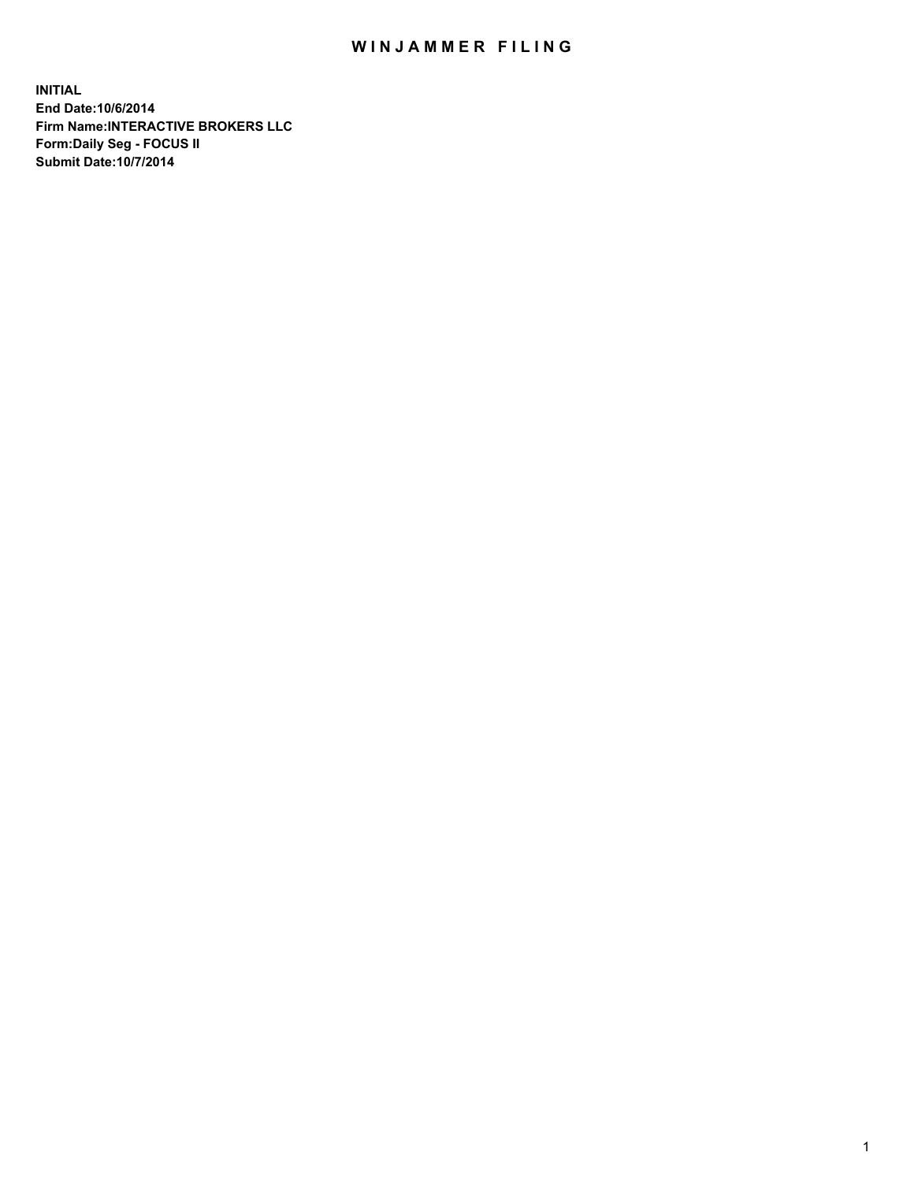## WIN JAMMER FILING

**INITIAL End Date:10/6/2014 Firm Name:INTERACTIVE BROKERS LLC Form:Daily Seg - FOCUS II Submit Date:10/7/2014**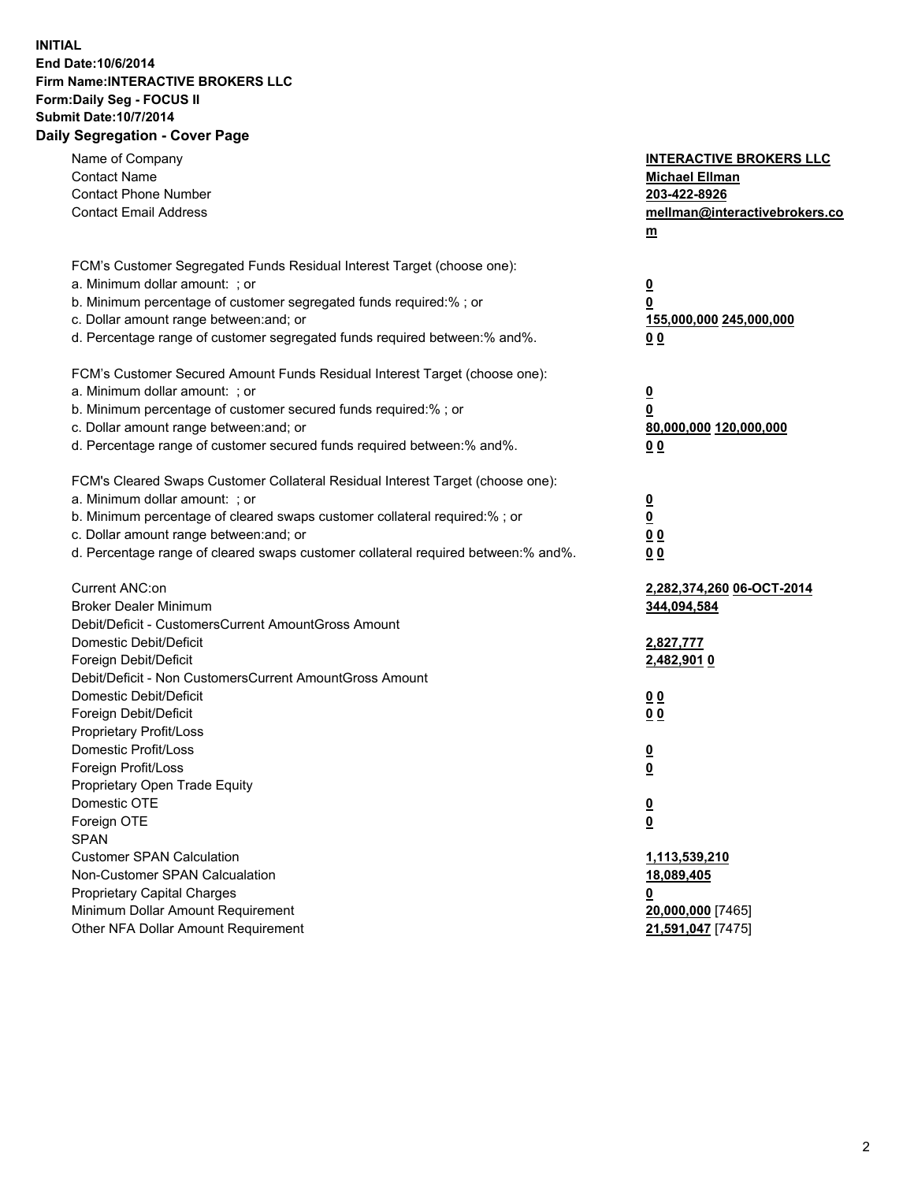## **INITIAL End Date:10/6/2014 Firm Name:INTERACTIVE BROKERS LLC Form:Daily Seg - FOCUS II Submit Date:10/7/2014 Daily Segregation - Cover Page**

| Name of Company<br><b>Contact Name</b><br><b>Contact Phone Number</b><br><b>Contact Email Address</b>                                                                                                                                                                                                                          | <b>INTERACTIVE BROKERS LLC</b><br><b>Michael Ellman</b><br>203-422-8926<br>mellman@interactivebrokers.co<br>$m$ |
|--------------------------------------------------------------------------------------------------------------------------------------------------------------------------------------------------------------------------------------------------------------------------------------------------------------------------------|-----------------------------------------------------------------------------------------------------------------|
| FCM's Customer Segregated Funds Residual Interest Target (choose one):<br>a. Minimum dollar amount: ; or<br>b. Minimum percentage of customer segregated funds required:% ; or<br>c. Dollar amount range between: and; or<br>d. Percentage range of customer segregated funds required between:% and%.                         | $\overline{\mathbf{0}}$<br>0<br>155,000,000 245,000,000<br>0 <sub>0</sub>                                       |
| FCM's Customer Secured Amount Funds Residual Interest Target (choose one):<br>a. Minimum dollar amount: ; or<br>b. Minimum percentage of customer secured funds required:% ; or<br>c. Dollar amount range between: and; or<br>d. Percentage range of customer secured funds required between:% and%.                           | $\overline{\mathbf{0}}$<br>0<br>80,000,000 120,000,000<br>0 <sub>0</sub>                                        |
| FCM's Cleared Swaps Customer Collateral Residual Interest Target (choose one):<br>a. Minimum dollar amount: ; or<br>b. Minimum percentage of cleared swaps customer collateral required:% ; or<br>c. Dollar amount range between: and; or<br>d. Percentage range of cleared swaps customer collateral required between:% and%. | $\overline{\mathbf{0}}$<br>$\underline{\mathbf{0}}$<br>0 <sub>0</sub><br>0 <sub>0</sub>                         |
| Current ANC:on<br><b>Broker Dealer Minimum</b><br>Debit/Deficit - CustomersCurrent AmountGross Amount<br>Domestic Debit/Deficit                                                                                                                                                                                                | 2,282,374,260 06-OCT-2014<br>344,094,584<br>2,827,777                                                           |
| Foreign Debit/Deficit<br>Debit/Deficit - Non CustomersCurrent AmountGross Amount<br>Domestic Debit/Deficit<br>Foreign Debit/Deficit<br>Proprietary Profit/Loss                                                                                                                                                                 | 2,482,901 0<br>0 <sub>0</sub><br>0 <sub>0</sub>                                                                 |
| Domestic Profit/Loss<br>Foreign Profit/Loss<br>Proprietary Open Trade Equity<br>Domestic OTE<br>Foreign OTE<br><b>SPAN</b>                                                                                                                                                                                                     | $\overline{\mathbf{0}}$<br>$\overline{\mathbf{0}}$<br>$\underline{\mathbf{0}}$<br><u>0</u>                      |
| <b>Customer SPAN Calculation</b><br>Non-Customer SPAN Calcualation<br><b>Proprietary Capital Charges</b><br>Minimum Dollar Amount Requirement<br>Other NFA Dollar Amount Requirement                                                                                                                                           | 1,113,539,210<br>18,089,405<br><u>0</u><br>20,000,000 [7465]<br>21,591,047 [7475]                               |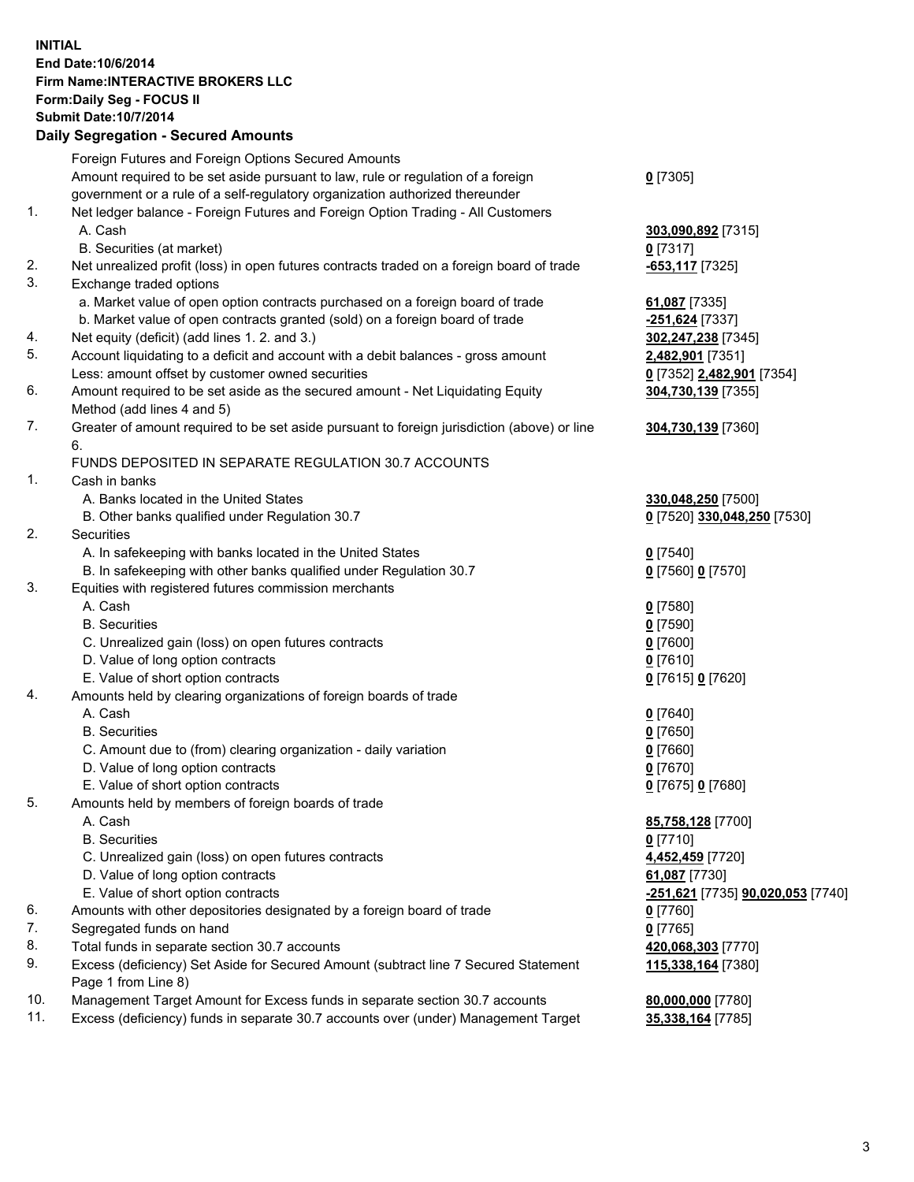## **INITIAL End Date:10/6/2014 Firm Name:INTERACTIVE BROKERS LLC Form:Daily Seg - FOCUS II Submit Date:10/7/2014 Daily Segregation - Secured Amounts**

|     | $-$ 0.000 0.000 0.000 0.000 0.000 0.000 0.000 0.000 0.000 0.000 0.000 0.000 0.000 0.000 0.000 0.000 0.000 0.000 0.000 0.000 0.000 0.000 0.000 0.000 0.000 0.000 0.000 0.000 0.000 0.000 0.000 0.000 0.000 0.000 0.000 0.000 0 |                                                 |
|-----|-------------------------------------------------------------------------------------------------------------------------------------------------------------------------------------------------------------------------------|-------------------------------------------------|
|     | Foreign Futures and Foreign Options Secured Amounts                                                                                                                                                                           |                                                 |
|     | Amount required to be set aside pursuant to law, rule or regulation of a foreign                                                                                                                                              | $0$ [7305]                                      |
|     | government or a rule of a self-regulatory organization authorized thereunder                                                                                                                                                  |                                                 |
| 1.  | Net ledger balance - Foreign Futures and Foreign Option Trading - All Customers                                                                                                                                               |                                                 |
|     | A. Cash                                                                                                                                                                                                                       | 303,090,892 [7315]                              |
|     | B. Securities (at market)                                                                                                                                                                                                     | $0$ [7317]                                      |
| 2.  | Net unrealized profit (loss) in open futures contracts traded on a foreign board of trade                                                                                                                                     | <u>-653,117</u> [7325]                          |
| 3.  | Exchange traded options                                                                                                                                                                                                       |                                                 |
|     | a. Market value of open option contracts purchased on a foreign board of trade                                                                                                                                                | 61,087 [7335]                                   |
|     | b. Market value of open contracts granted (sold) on a foreign board of trade                                                                                                                                                  | -251,624 [7337]                                 |
| 4.  | Net equity (deficit) (add lines 1.2. and 3.)                                                                                                                                                                                  | 302,247,238 [7345]                              |
| 5.  | Account liquidating to a deficit and account with a debit balances - gross amount                                                                                                                                             | <u>2,482,901</u> [7351]                         |
|     | Less: amount offset by customer owned securities                                                                                                                                                                              | 0 [7352] 2,482,901 [7354]                       |
| 6.  | Amount required to be set aside as the secured amount - Net Liquidating Equity                                                                                                                                                | 304,730,139 [7355]                              |
|     | Method (add lines 4 and 5)                                                                                                                                                                                                    |                                                 |
| 7.  | Greater of amount required to be set aside pursuant to foreign jurisdiction (above) or line                                                                                                                                   | 304,730,139 [7360]                              |
|     | 6.                                                                                                                                                                                                                            |                                                 |
|     | FUNDS DEPOSITED IN SEPARATE REGULATION 30.7 ACCOUNTS                                                                                                                                                                          |                                                 |
| 1.  | Cash in banks                                                                                                                                                                                                                 |                                                 |
|     | A. Banks located in the United States                                                                                                                                                                                         | 330,048,250 [7500]                              |
|     | B. Other banks qualified under Regulation 30.7                                                                                                                                                                                | 0 [7520] 330,048,250 [7530]                     |
| 2.  | Securities                                                                                                                                                                                                                    |                                                 |
|     | A. In safekeeping with banks located in the United States                                                                                                                                                                     | $Q$ [7540]                                      |
|     | B. In safekeeping with other banks qualified under Regulation 30.7                                                                                                                                                            | 0 [7560] 0 [7570]                               |
| 3.  | Equities with registered futures commission merchants                                                                                                                                                                         |                                                 |
|     | A. Cash                                                                                                                                                                                                                       | $0$ [7580]                                      |
|     | <b>B.</b> Securities                                                                                                                                                                                                          | $0$ [7590]                                      |
|     | C. Unrealized gain (loss) on open futures contracts                                                                                                                                                                           | $0$ [7600]                                      |
|     | D. Value of long option contracts                                                                                                                                                                                             | $0$ [7610]                                      |
|     | E. Value of short option contracts                                                                                                                                                                                            |                                                 |
| 4.  |                                                                                                                                                                                                                               | 0 [7615] 0 [7620]                               |
|     | Amounts held by clearing organizations of foreign boards of trade<br>A. Cash                                                                                                                                                  |                                                 |
|     |                                                                                                                                                                                                                               | $0$ [7640]                                      |
|     | <b>B.</b> Securities                                                                                                                                                                                                          | $0$ [7650]                                      |
|     | C. Amount due to (from) clearing organization - daily variation                                                                                                                                                               | $0$ [7660]                                      |
|     | D. Value of long option contracts                                                                                                                                                                                             | $0$ [7670]                                      |
|     | E. Value of short option contracts                                                                                                                                                                                            | 0 [7675] 0 [7680]                               |
| 5.  | Amounts held by members of foreign boards of trade                                                                                                                                                                            |                                                 |
|     | A. Cash                                                                                                                                                                                                                       | 85,758,128 [7700]                               |
|     | <b>B.</b> Securities                                                                                                                                                                                                          | $0$ [7710]                                      |
|     | C. Unrealized gain (loss) on open futures contracts                                                                                                                                                                           | 4,452,459 [7720]                                |
|     | D. Value of long option contracts                                                                                                                                                                                             | 61,087 [7730]                                   |
|     | E. Value of short option contracts                                                                                                                                                                                            | <u>-251,621</u> [7735] <b>90,020,053</b> [7740] |
| 6.  | Amounts with other depositories designated by a foreign board of trade                                                                                                                                                        | $0$ [7760]                                      |
| 7.  | Segregated funds on hand                                                                                                                                                                                                      | $0$ [7765]                                      |
| 8.  | Total funds in separate section 30.7 accounts                                                                                                                                                                                 | 420,068,303 [7770]                              |
| 9.  | Excess (deficiency) Set Aside for Secured Amount (subtract line 7 Secured Statement<br>Page 1 from Line 8)                                                                                                                    | 115,338,164 [7380]                              |
| 10. | Management Target Amount for Excess funds in separate section 30.7 accounts                                                                                                                                                   | 80,000,000 [7780]                               |
| 11. | Excess (deficiency) funds in separate 30.7 accounts over (under) Management Target                                                                                                                                            | 35,338,164 [7785]                               |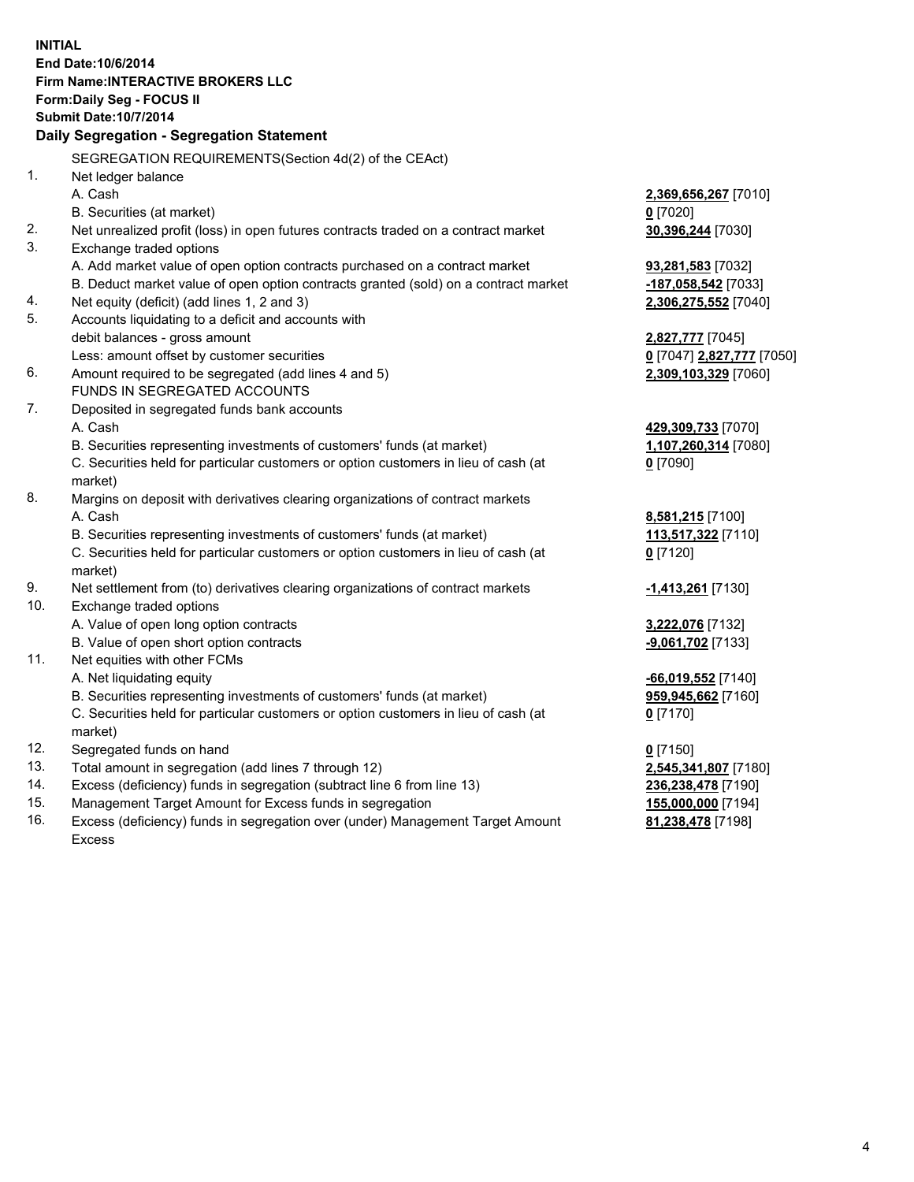**INITIAL End Date:10/6/2014 Firm Name:INTERACTIVE BROKERS LLC Form:Daily Seg - FOCUS II Submit Date:10/7/2014 Daily Segregation - Segregation Statement** SEGREGATION REQUIREMENTS(Section 4d(2) of the CEAct) 1. Net ledger balance A. Cash **2,369,656,267** [7010] B. Securities (at market) **0** [7020] 2. Net unrealized profit (loss) in open futures contracts traded on a contract market **30,396,244** [7030] 3. Exchange traded options A. Add market value of open option contracts purchased on a contract market **93,281,583** [7032] B. Deduct market value of open option contracts granted (sold) on a contract market **-187,058,542** [7033] 4. Net equity (deficit) (add lines 1, 2 and 3) **2,306,275,552** [7040] 5. Accounts liquidating to a deficit and accounts with debit balances - gross amount **2,827,777** [7045] Less: amount offset by customer securities **0** [7047] **2,827,777** [7050] 6. Amount required to be segregated (add lines 4 and 5) **2,309,103,329** [7060] FUNDS IN SEGREGATED ACCOUNTS 7. Deposited in segregated funds bank accounts A. Cash **429,309,733** [7070] B. Securities representing investments of customers' funds (at market) **1,107,260,314** [7080] C. Securities held for particular customers or option customers in lieu of cash (at market) **0** [7090] 8. Margins on deposit with derivatives clearing organizations of contract markets A. Cash **8,581,215** [7100] B. Securities representing investments of customers' funds (at market) **113,517,322** [7110] C. Securities held for particular customers or option customers in lieu of cash (at market) **0** [7120] 9. Net settlement from (to) derivatives clearing organizations of contract markets **-1,413,261** [7130] 10. Exchange traded options A. Value of open long option contracts **3,222,076** [7132] B. Value of open short option contracts **-9,061,702** [7133] 11. Net equities with other FCMs A. Net liquidating equity **-66,019,552** [7140] B. Securities representing investments of customers' funds (at market) **959,945,662** [7160] C. Securities held for particular customers or option customers in lieu of cash (at market) **0** [7170] 12. Segregated funds on hand **0** [7150] 13. Total amount in segregation (add lines 7 through 12) **2,545,341,807** [7180] 14. Excess (deficiency) funds in segregation (subtract line 6 from line 13) **236,238,478** [7190] 15. Management Target Amount for Excess funds in segregation **155,000,000** [7194]

16. Excess (deficiency) funds in segregation over (under) Management Target Amount Excess

**81,238,478** [7198]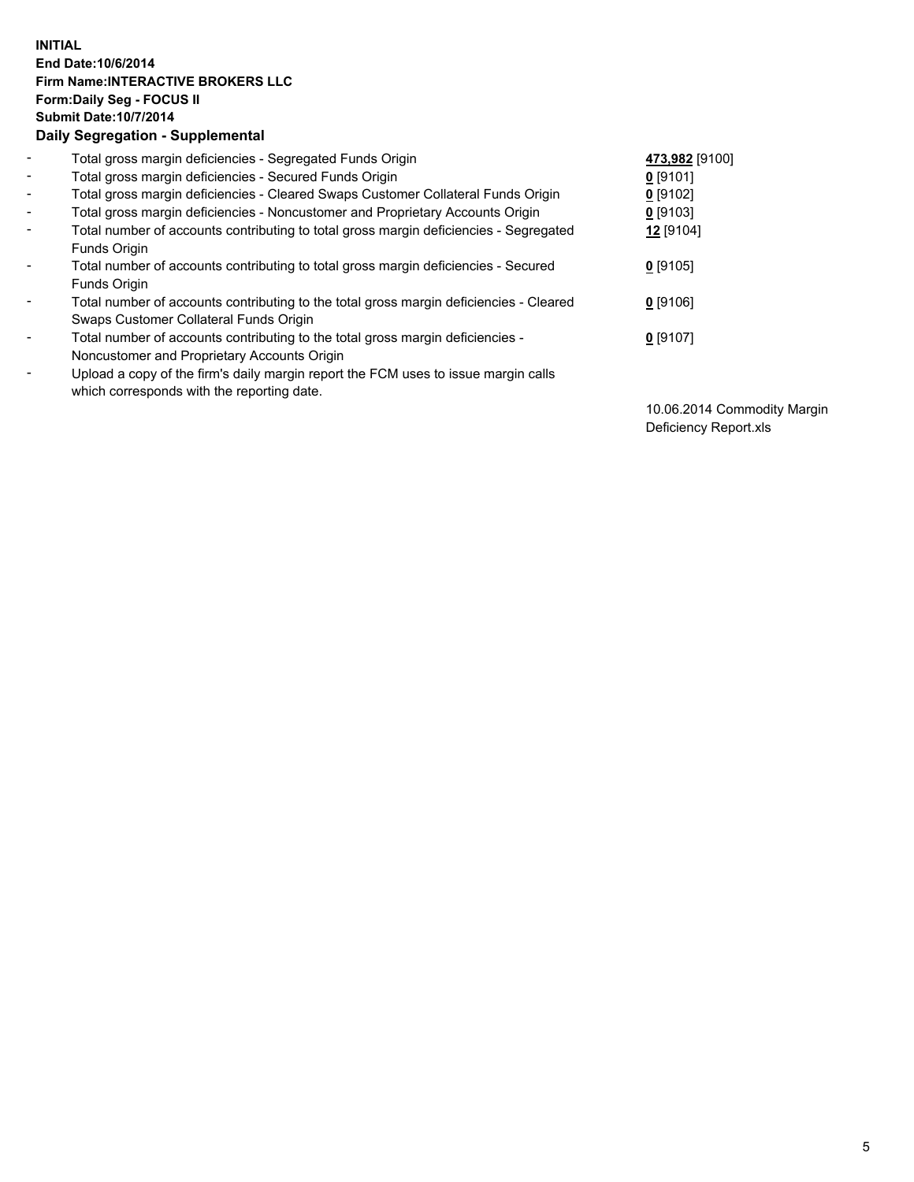## **INITIAL End Date:10/6/2014 Firm Name:INTERACTIVE BROKERS LLC Form:Daily Seg - FOCUS II Submit Date:10/7/2014 Daily Segregation - Supplemental**

| $\blacksquare$           | Total gross margin deficiencies - Segregated Funds Origin                              | 473,982 [9100] |
|--------------------------|----------------------------------------------------------------------------------------|----------------|
| $\blacksquare$           | Total gross margin deficiencies - Secured Funds Origin                                 | $0$ [9101]     |
| $\blacksquare$           | Total gross margin deficiencies - Cleared Swaps Customer Collateral Funds Origin       | $0$ [9102]     |
| $\blacksquare$           | Total gross margin deficiencies - Noncustomer and Proprietary Accounts Origin          | $0$ [9103]     |
| $\blacksquare$           | Total number of accounts contributing to total gross margin deficiencies - Segregated  | 12 [9104]      |
|                          | Funds Origin                                                                           |                |
| $\blacksquare$           | Total number of accounts contributing to total gross margin deficiencies - Secured     | $0$ [9105]     |
|                          | Funds Origin                                                                           |                |
| $\overline{\phantom{a}}$ | Total number of accounts contributing to the total gross margin deficiencies - Cleared | $0$ [9106]     |
|                          | Swaps Customer Collateral Funds Origin                                                 |                |
| -                        | Total number of accounts contributing to the total gross margin deficiencies -         | $0$ [9107]     |
|                          | Noncustomer and Proprietary Accounts Origin                                            |                |
| $\blacksquare$           | Upload a copy of the firm's daily margin report the FCM uses to issue margin calls     |                |
|                          | which corresponds with the reporting date.                                             |                |

10.06.2014 Commodity Margin Deficiency Report.xls